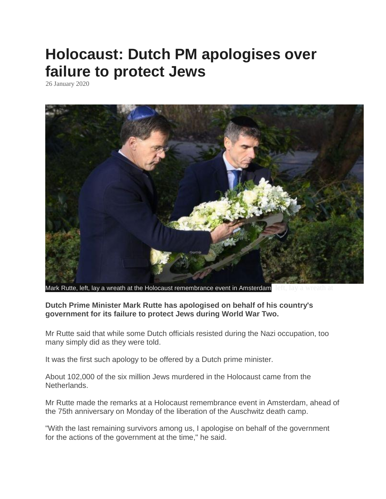## **Holocaust: Dutch PM apologises over failure to protect Jews**

26 January 2020



Mark Rutte, left, lay a wreath at the Holocaust remembrance event in Amsterdam, left, lay a wreath at

## **Dutch Prime Minister Mark Rutte has apologised on behalf of his country's government for its failure to protect Jews during World War Two.**

Mr Rutte said that while some Dutch officials resisted during the Nazi occupation, too many simply did as they were told.

It was the first such apology to be offered by a Dutch prime minister.

About 102,000 of the six million Jews murdered in the Holocaust came from the Netherlands.

Mr Rutte made the remarks at a Holocaust remembrance event in Amsterdam, ahead of the 75th anniversary on Monday of the liberation of the Auschwitz death camp.

"With the last remaining survivors among us, I apologise on behalf of the government for the actions of the government at the time," he said.